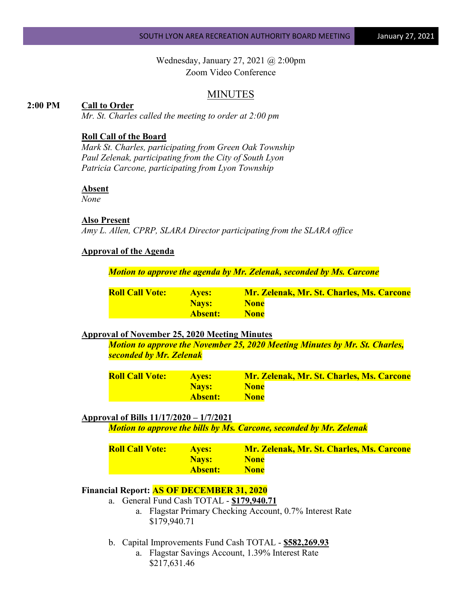Wednesday, January 27, 2021 @ 2:00pm Zoom Video Conference

### MINUTES

#### **2:00 PM Call to Order**

*Mr. St. Charles called the meeting to order at 2:00 pm*

#### **Roll Call of the Board**

*Mark St. Charles, participating from Green Oak Township Paul Zelenak, participating from the City of South Lyon Patricia Carcone, participating from Lyon Township*

#### **Absent**

*None*

#### **Also Present**

*Amy L. Allen, CPRP, SLARA Director participating from the SLARA office*

#### **Approval of the Agenda**

*Motion to approve the agenda by Mr. Zelenak, seconded by Ms. Carcone*

| <b>Roll Call Vote:</b> | <b>Aves:</b> | Mr. Zelenak, Mr. St. Charles, Ms. Carcone |
|------------------------|--------------|-------------------------------------------|
|                        | Navs:        | <b>None</b>                               |
|                        | Absent: \    | <b>None</b>                               |

#### **Approval of November 25, 2020 Meeting Minutes**

*Motion to approve the November 25, 2020 Meeting Minutes by Mr. St. Charles, seconded by Mr. Zelenak*

| <b>Roll Call Vote:</b> | <b>Aves:</b> | Mr. Zelenak, Mr. St. Charles, Ms. Carcone |
|------------------------|--------------|-------------------------------------------|
|                        | <b>Navs:</b> | <b>None</b>                               |
|                        | 'Absent: '   | <b>None</b>                               |

#### **Approval of Bills 11/17/2020 – 1/7/2021**

*Motion to approve the bills by Ms. Carcone, seconded by Mr. Zelenak*

| <b>Roll Call Vote:</b> | <b>Aves:</b> | Mr. Zelenak, Mr. St. Charles, Ms. Carcone |
|------------------------|--------------|-------------------------------------------|
|                        | <b>Navs:</b> | <b>None</b>                               |
|                        | Absent:      | <b>None</b>                               |

## **Financial Report: AS OF DECEMBER 31, 2020**

- a. General Fund Cash TOTAL **\$179,940.71**
	- a. Flagstar Primary Checking Account, 0.7% Interest Rate \$179,940.71
- b. Capital Improvements Fund Cash TOTAL **\$582,269.93**
	- a. Flagstar Savings Account, 1.39% Interest Rate \$217,631.46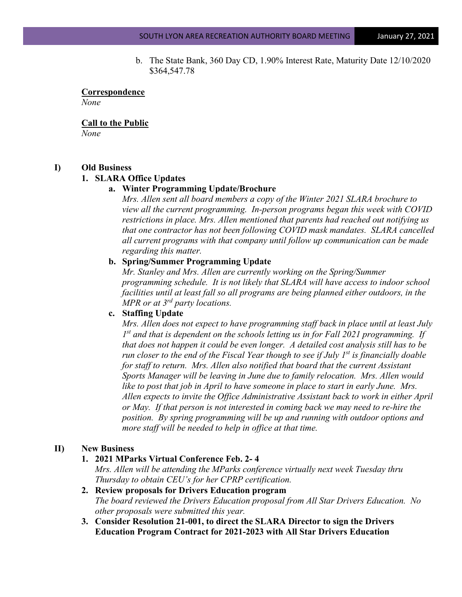b. The State Bank, 360 Day CD, 1.90% Interest Rate, Maturity Date 12/10/2020 \$364,547.78

# **Correspondence**

*None*

### **Call to the Public**

*None*

## **I) Old Business**

## **1. SLARA Office Updates**

## **a. Winter Programming Update/Brochure**

*Mrs. Allen sent all board members a copy of the Winter 2021 SLARA brochure to view all the current programming. In-person programs began this week with COVID restrictions in place. Mrs. Allen mentioned that parents had reached out notifying us that one contractor has not been following COVID mask mandates. SLARA cancelled all current programs with that company until follow up communication can be made regarding this matter.*

## **b. Spring/Summer Programming Update**

*Mr. Stanley and Mrs. Allen are currently working on the Spring/Summer programming schedule. It is not likely that SLARA will have access to indoor school facilities until at least fall so all programs are being planned either outdoors, in the MPR or at 3rd party locations.*

## **c. Staffing Update**

*Mrs. Allen does not expect to have programming staff back in place until at least July 1st and that is dependent on the schools letting us in for Fall 2021 programming. If that does not happen it could be even longer. A detailed cost analysis still has to be run closer to the end of the Fiscal Year though to see if July 1<sup>st</sup> is financially doable for staff to return. Mrs. Allen also notified that board that the current Assistant Sports Manager will be leaving in June due to family relocation. Mrs. Allen would like to post that job in April to have someone in place to start in early June. Mrs.*  Allen expects to invite the Office Administrative Assistant back to work in either *April or May. If that person is not interested in coming back we may need to re-hire the position. By spring programming will be up and running with outdoor options and more staff will be needed to help in office at that time.*

# **II) New Business**

# **1. 2021 MParks Virtual Conference Feb. 2- 4**

*Mrs. Allen will be attending the MParks conference virtually next week Tuesday thru Thursday to obtain CEU's for her CPRP certification.*

- **2. Review proposals for Drivers Education program** *The board reviewed the Drivers Education proposal from All Star Drivers Education. No other proposals were submitted this year.*
- **3. Consider Resolution 21-001, to direct the SLARA Director to sign the Drivers Education Program Contract for 2021-2023 with All Star Drivers Education**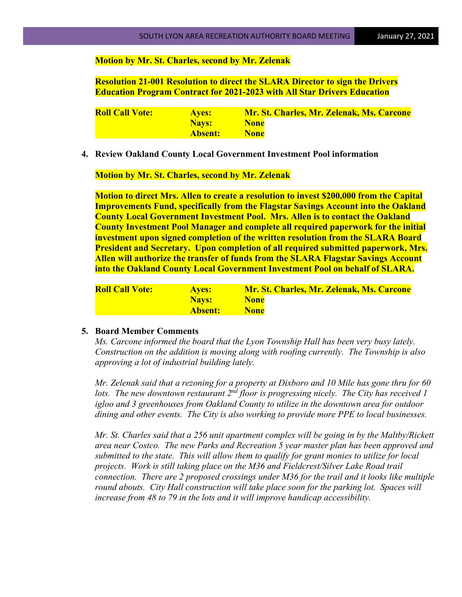#### **Motion by Mr. St. Charles, second by Mr. Zelenak**

**Resolution 21-001 Resolution to direct the SLARA Director to sign the Drivers Education Program Contract for 2021-2023 with All Star Drivers Education**

| <b>Roll Call Vote:</b> | <b>Aves:</b> | Mr. St. Charles, Mr. Zelenak, Ms. Carcone |
|------------------------|--------------|-------------------------------------------|
|                        | <b>Navs:</b> | <b>None</b>                               |
|                        | Absent:      | <b>None</b>                               |

**4. Review Oakland County Local Government Investment Pool information**

**Motion by Mr. St. Charles, second by Mr. Zelenak**

**Motion to direct Mrs. Allen to create a resolution to invest \$200,000 from the Capital Improvements Fund, specifically from the Flagstar Savings Account into the Oakland County Local Government Investment Pool. Mrs. Allen is to contact the Oakland County Investment Pool Manager and complete all required paperwork for the initial investment upon signed completion of the written resolution from the SLARA Board President and Secretary. Upon completion of all required submitted paperwork, Mrs. Allen will authorize the transfer of funds from the SLARA Flagstar Savings Account into the Oakland County Local Government Investment Pool on behalf of SLARA.**

| <b>Roll Call Vote:</b> | <b>Aves:</b> | Mr. St. Charles, Mr. Zelenak, Ms. Carcone |
|------------------------|--------------|-------------------------------------------|
|                        | <b>Navs:</b> | <b>None</b>                               |
|                        | Absent:      | <b>None</b>                               |

#### **5. Board Member Comments**

*Ms. Carcone informed the board that the Lyon Township Hall has been very busy lately. Construction on the addition is moving along with roofing currently. The Township is also approving a lot of industrial building lately.*

*Mr. Zelenak said that a rezoning for a property at Dixboro and 10 Mile has gone thru for 60 lots. The new downtown restaurant 2nd floor is progressing nicely. The City has received 1 igloo and 3 greenhouses from Oakland County to utilize in the downtown area for outdoor dining and other events. The City is also working to provide more PPE to local businesses.*

*Mr. St. Charles said that a 256 unit apartment complex will be going in by the Maltby/Rickett area near Costco. The new Parks and Recreation 5 year master plan has been approved and submitted to the state. This will allow them to qualify for grant monies to utilize for local projects. Work is still taking place on the M36 and Fieldcrest/Silver Lake Road trail connection. There are 2 proposed crossings under M36 for the trail and it looks like multiple round abouts. City Hall construction will take place soon for the parking lot. Spaces will increase from 48 to 79 in the lots and it will improve handicap accessibility.*